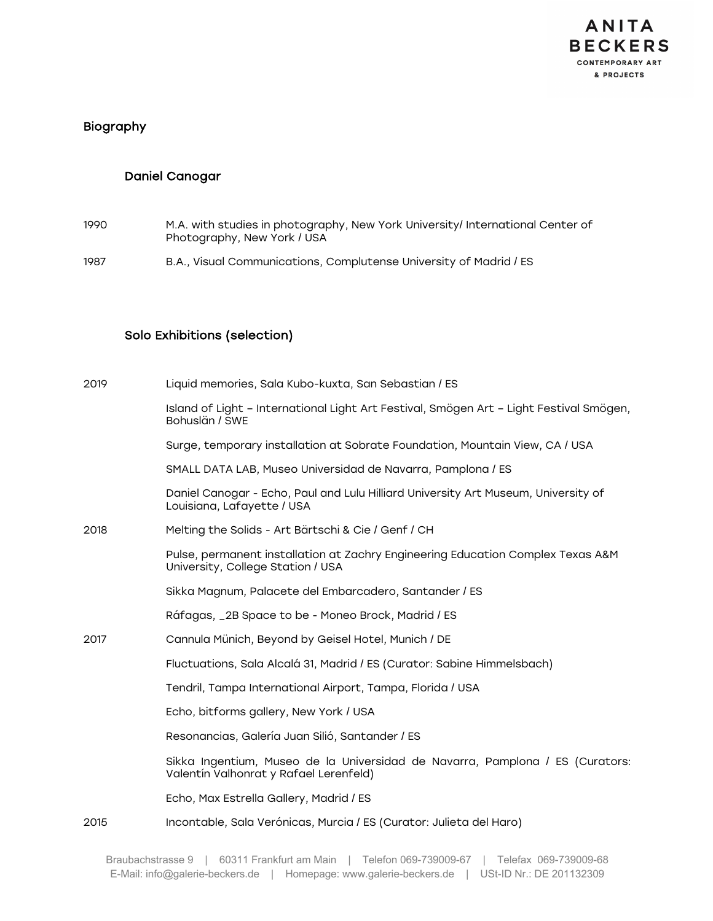

### Biography

### Daniel Canogar

- 1990 M.A. with studies in photography, New York University/ International Center of Photography, New York / USA
- 1987 B.A., Visual Communications, Complutense University of Madrid / ES

### Solo Exhibitions (selection)

| 2019 | Liquid memories, Sala Kubo-kuxta, San Sebastian / ES                                                                    |
|------|-------------------------------------------------------------------------------------------------------------------------|
|      | Island of Light - International Light Art Festival, Smögen Art - Light Festival Smögen,<br>Bohuslän / SWE               |
|      | Surge, temporary installation at Sobrate Foundation, Mountain View, CA / USA                                            |
|      | SMALL DATA LAB, Museo Universidad de Navarra, Pamplona / ES                                                             |
|      | Daniel Canogar - Echo, Paul and Lulu Hilliard University Art Museum, University of<br>Louisiana, Lafayette / USA        |
| 2018 | Melting the Solids - Art Bärtschi & Cie / Genf / CH                                                                     |
|      | Pulse, permanent installation at Zachry Engineering Education Complex Texas A&M<br>University, College Station / USA    |
|      | Sikka Magnum, Palacete del Embarcadero, Santander / ES                                                                  |
|      | Ráfagas, _2B Space to be - Moneo Brock, Madrid / ES                                                                     |
| 2017 | Cannula Münich, Beyond by Geisel Hotel, Munich / DE                                                                     |
|      | Fluctuations, Sala Alcalá 31, Madrid / ES (Curator: Sabine Himmelsbach)                                                 |
|      | Tendril, Tampa International Airport, Tampa, Florida / USA                                                              |
|      | Echo, bitforms gallery, New York / USA                                                                                  |
|      | Resonancias, Galería Juan Silió, Santander / ES                                                                         |
|      | Sikka Ingentium, Museo de la Universidad de Navarra, Pamplona / ES (Curators:<br>Valentín Valhonrat y Rafael Lerenfeld) |
|      | Echo, Max Estrella Gallery, Madrid / ES                                                                                 |
| 2015 | Incontable, Sala Verónicas, Murcia / ES (Curator: Julieta del Haro)                                                     |
|      |                                                                                                                         |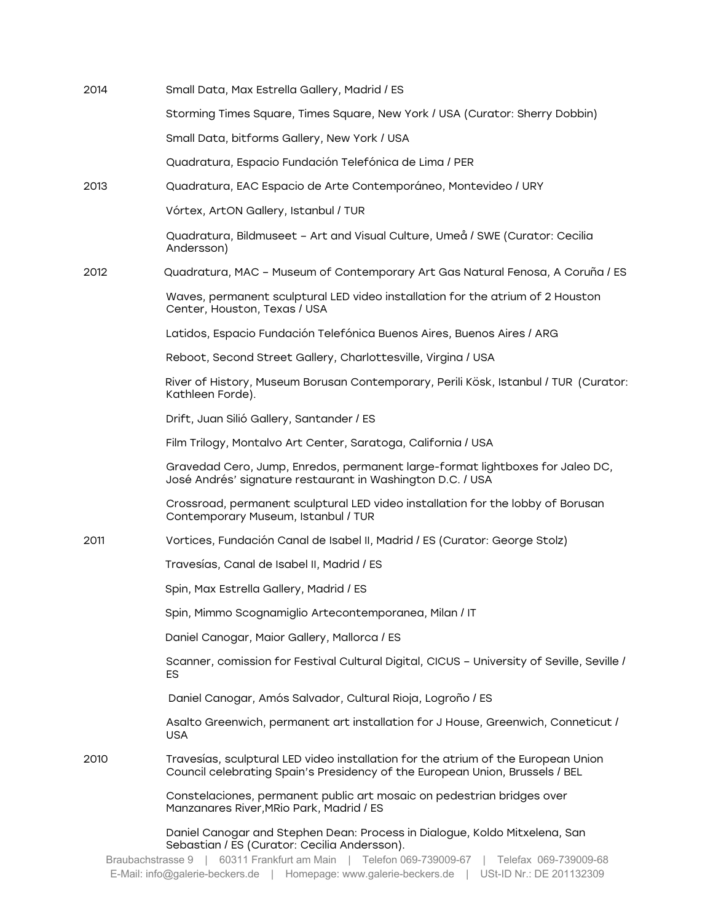| 2014              | Small Data, Max Estrella Gallery, Madrid / ES                                                                                                                                                            |
|-------------------|----------------------------------------------------------------------------------------------------------------------------------------------------------------------------------------------------------|
|                   | Storming Times Square, Times Square, New York / USA (Curator: Sherry Dobbin)                                                                                                                             |
|                   | Small Data, bitforms Gallery, New York / USA                                                                                                                                                             |
|                   | Quadratura, Espacio Fundación Telefónica de Lima / PER                                                                                                                                                   |
| 2013              | Quadratura, EAC Espacio de Arte Contemporáneo, Montevideo / URY                                                                                                                                          |
|                   | Vórtex, ArtON Gallery, Istanbul / TUR                                                                                                                                                                    |
|                   | Quadratura, Bildmuseet - Art and Visual Culture, Umeå / SWE (Curator: Cecilia<br>Andersson)                                                                                                              |
| 2012              | Quadratura, MAC - Museum of Contemporary Art Gas Natural Fenosa, A Coruña / ES                                                                                                                           |
|                   | Waves, permanent sculptural LED video installation for the atrium of 2 Houston<br>Center, Houston, Texas / USA                                                                                           |
|                   | Latidos, Espacio Fundación Telefónica Buenos Aires, Buenos Aires / ARG                                                                                                                                   |
|                   | Reboot, Second Street Gallery, Charlottesville, Virgina / USA                                                                                                                                            |
|                   | River of History, Museum Borusan Contemporary, Perili Kösk, Istanbul / TUR (Curator:<br>Kathleen Forde).                                                                                                 |
|                   | Drift, Juan Silió Gallery, Santander / ES                                                                                                                                                                |
|                   | Film Trilogy, Montalvo Art Center, Saratoga, California / USA                                                                                                                                            |
|                   | Gravedad Cero, Jump, Enredos, permanent large-format lightboxes for Jaleo DC,<br>José Andrés' signature restaurant in Washington D.C. / USA                                                              |
|                   | Crossroad, permanent sculptural LED video installation for the lobby of Borusan<br>Contemporary Museum, Istanbul / TUR                                                                                   |
| 2011              | Vortices, Fundación Canal de Isabel II, Madrid / ES (Curator: George Stolz)                                                                                                                              |
|                   | Travesías, Canal de Isabel II, Madrid / ES                                                                                                                                                               |
|                   | Spin, Max Estrella Gallery, Madrid / ES                                                                                                                                                                  |
|                   | Spin, Mimmo Scognamiglio Artecontemporanea, Milan / IT                                                                                                                                                   |
|                   | Daniel Canogar, Maior Gallery, Mallorca / ES                                                                                                                                                             |
|                   | Scanner, comission for Festival Cultural Digital, CICUS - University of Seville, Seville /<br>ES                                                                                                         |
|                   | Daniel Canogar, Amós Salvador, Cultural Rioja, Logroño / ES                                                                                                                                              |
|                   | Asalto Greenwich, permanent art installation for J House, Greenwich, Conneticut /<br><b>USA</b>                                                                                                          |
| 2010              | Travesias, sculptural LED video installation for the atrium of the European Union<br>Council celebrating Spain's Presidency of the European Union, Brussels / BEL                                        |
|                   | Constelaciones, permanent public art mosaic on pedestrian bridges over<br>Manzanares River, MRio Park, Madrid / ES                                                                                       |
| Braubachstrasse 9 | Daniel Canogar and Stephen Dean: Process in Dialogue, Koldo Mitxelena, San<br>Sebastian / ES (Curator: Cecilia Andersson).<br>60311 Frankfurt am Main   Telefon 069-739009-67  <br>Telefax 069-739009-68 |

E-Mail: info@galerie-beckers.de | Homepage: www.galerie-beckers.de | USt-ID Nr.: DE 201132309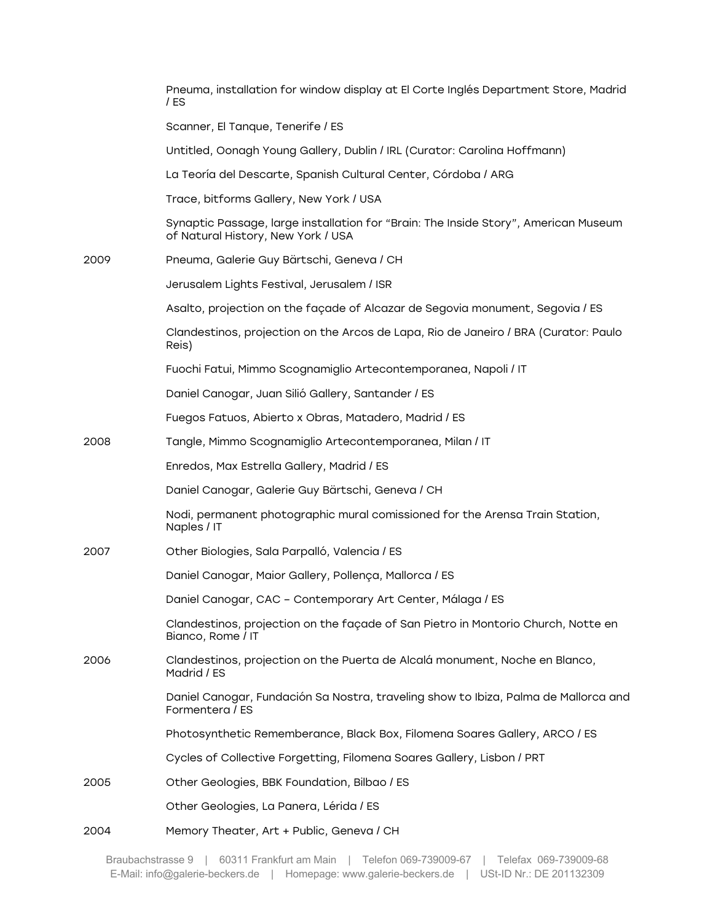|      | Pneuma, installation for window display at El Corte Inglés Department Store, Madrid<br>/ ES                               |
|------|---------------------------------------------------------------------------------------------------------------------------|
|      | Scanner, El Tanque, Tenerife / ES                                                                                         |
|      | Untitled, Oonagh Young Gallery, Dublin / IRL (Curator: Carolina Hoffmann)                                                 |
|      | La Teoría del Descarte, Spanish Cultural Center, Córdoba / ARG                                                            |
|      | Trace, bitforms Gallery, New York / USA                                                                                   |
|      | Synaptic Passage, large installation for "Brain: The Inside Story", American Museum<br>of Natural History, New York / USA |
| 2009 | Pneuma, Galerie Guy Bärtschi, Geneva / CH                                                                                 |
|      | Jerusalem Lights Festival, Jerusalem / ISR                                                                                |
|      | Asalto, projection on the façade of Alcazar de Segovia monument, Segovia / ES                                             |
|      | Clandestinos, projection on the Arcos de Lapa, Rio de Janeiro / BRA (Curator: Paulo<br>Reis)                              |
|      | Fuochi Fatui, Mimmo Scognamiglio Artecontemporanea, Napoli / IT                                                           |
|      | Daniel Canogar, Juan Silió Gallery, Santander / ES                                                                        |
|      | Fuegos Fatuos, Abierto x Obras, Matadero, Madrid / ES                                                                     |
| 2008 | Tangle, Mimmo Scognamiglio Artecontemporanea, Milan / IT                                                                  |
|      | Enredos, Max Estrella Gallery, Madrid / ES                                                                                |
|      | Daniel Canogar, Galerie Guy Bärtschi, Geneva / CH                                                                         |
|      | Nodi, permanent photographic mural comissioned for the Arensa Train Station,<br>Naples / IT                               |
| 2007 | Other Biologies, Sala Parpalló, Valencia / ES                                                                             |
|      | Daniel Canogar, Maior Gallery, Pollença, Mallorca / ES                                                                    |
|      | Daniel Canogar, CAC - Contemporary Art Center, Málaga / ES                                                                |
|      | Clandestinos, projection on the façade of San Pietro in Montorio Church, Notte en<br>Bianco, Rome / IT                    |
| 2006 | Clandestinos, projection on the Puerta de Alcalá monument, Noche en Blanco,<br>Madrid / ES                                |
|      | Daniel Canogar, Fundación Sa Nostra, traveling show to Ibiza, Palma de Mallorca and<br>Formentera / ES                    |
|      | Photosynthetic Rememberance, Black Box, Filomena Soares Gallery, ARCO / ES                                                |
|      | Cycles of Collective Forgetting, Filomena Soares Gallery, Lisbon / PRT                                                    |
| 2005 | Other Geologies, BBK Foundation, Bilbao / ES                                                                              |
|      | Other Geologies, La Panera, Lérida / ES                                                                                   |
| 2004 | Memory Theater, Art + Public, Geneva / CH                                                                                 |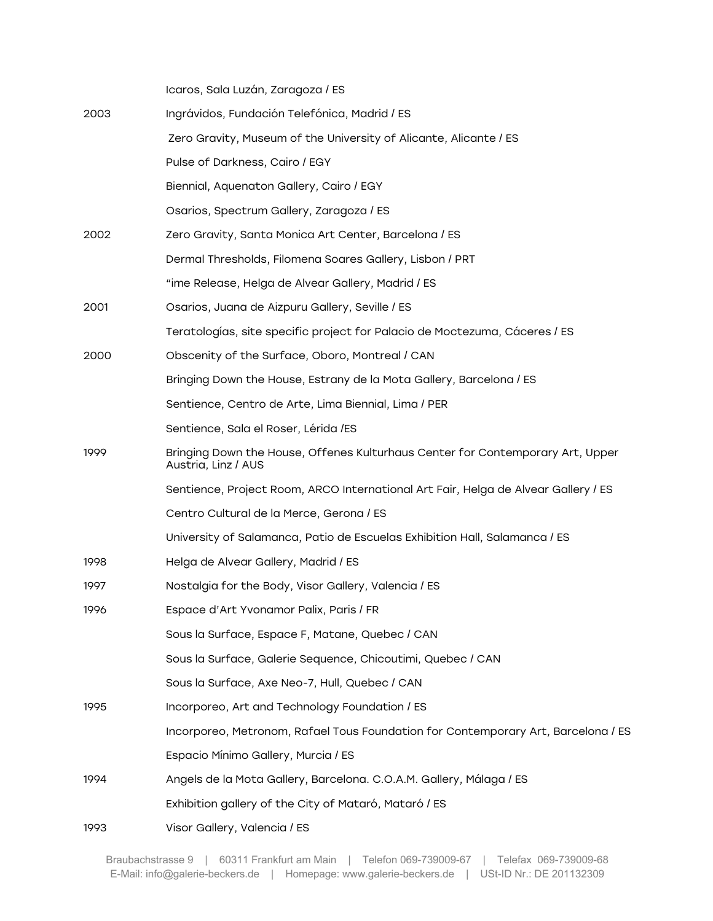Icaros, Sala Luzán, Zaragoza / ES

| 2003 | Ingrávidos, Fundación Telefónica, Madrid / ES                                                         |
|------|-------------------------------------------------------------------------------------------------------|
|      | Zero Gravity, Museum of the University of Alicante, Alicante / ES                                     |
|      | Pulse of Darkness, Cairo / EGY                                                                        |
|      | Biennial, Aquenaton Gallery, Cairo / EGY                                                              |
|      | Osarios, Spectrum Gallery, Zaragoza / ES                                                              |
| 2002 | Zero Gravity, Santa Monica Art Center, Barcelona / ES                                                 |
|      | Dermal Thresholds, Filomena Soares Gallery, Lisbon / PRT                                              |
|      | "ime Release, Helga de Alvear Gallery, Madrid / ES                                                    |
| 2001 | Osarios, Juana de Aizpuru Gallery, Seville / ES                                                       |
|      | Teratologías, site specific project for Palacio de Moctezuma, Cáceres / ES                            |
| 2000 | Obscenity of the Surface, Oboro, Montreal / CAN                                                       |
|      | Bringing Down the House, Estrany de la Mota Gallery, Barcelona / ES                                   |
|      | Sentience, Centro de Arte, Lima Biennial, Lima / PER                                                  |
|      | Sentience, Sala el Roser, Lérida /ES                                                                  |
| 1999 | Bringing Down the House, Offenes Kulturhaus Center for Contemporary Art, Upper<br>Austria, Linz / AUS |
|      | Sentience, Project Room, ARCO International Art Fair, Helga de Alvear Gallery / ES                    |
|      | Centro Cultural de la Merce, Gerona / ES                                                              |
|      | University of Salamanca, Patio de Escuelas Exhibition Hall, Salamanca / ES                            |
| 1998 | Helga de Alvear Gallery, Madrid / ES                                                                  |
| 1997 | Nostalgia for the Body, Visor Gallery, Valencia / ES                                                  |
| 1996 | Espace d'Art Yvonamor Palix, Paris / FR                                                               |
|      | Sous la Surface, Espace F, Matane, Quebec / CAN                                                       |
|      | Sous la Surface, Galerie Sequence, Chicoutimi, Quebec / CAN                                           |
|      | Sous la Surface, Axe Neo-7, Hull, Quebec / CAN                                                        |
| 1995 | Incorporeo, Art and Technology Foundation / ES                                                        |
|      | Incorporeo, Metronom, Rafael Tous Foundation for Contemporary Art, Barcelona / ES                     |
|      | Espacio Mínimo Gallery, Murcia / ES                                                                   |
| 1994 | Angels de la Mota Gallery, Barcelona. C.O.A.M. Gallery, Málaga / ES                                   |
|      | Exhibition gallery of the City of Mataró, Mataró / ES                                                 |
| 1993 | Visor Gallery, Valencia / ES                                                                          |
|      |                                                                                                       |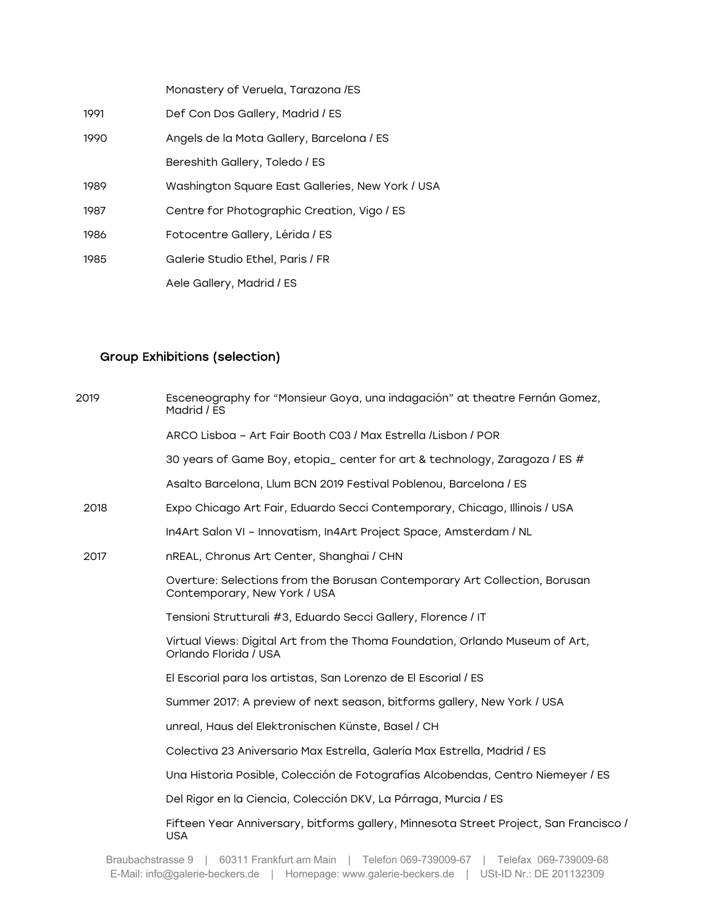|      | Monastery of Veruela, Tarazona /ES               |
|------|--------------------------------------------------|
| 1991 | Def Con Dos Gallery, Madrid / ES                 |
| 1990 | Angels de la Mota Gallery, Barcelona / ES        |
|      | Bereshith Gallery, Toledo / ES                   |
| 1989 | Washington Square East Galleries, New York / USA |
| 1987 | Centre for Photographic Creation, Vigo / ES      |
| 1986 | Fotocentre Gallery, Lérida / ES                  |
| 1985 | Galerie Studio Ethel, Paris / FR                 |
|      | Aele Gallery, Madrid / ES                        |

# Group Exhibitions (selection)

| 2019 | Esceneography for "Monsieur Goya, una indagación" at theatre Fernán Gomez,<br>Madrid / ES                  |
|------|------------------------------------------------------------------------------------------------------------|
|      | ARCO Lisboa - Art Fair Booth C03 / Max Estrella /Lisbon / POR                                              |
|      | 30 years of Game Boy, etopia_ center for art & technology, Zaragoza / ES #                                 |
|      | Asalto Barcelona, Llum BCN 2019 Festival Poblenou, Barcelona / ES                                          |
| 2018 | Expo Chicago Art Fair, Eduardo Secci Contemporary, Chicago, Illinois / USA                                 |
|      | In4Art Salon VI - Innovatism, In4Art Project Space, Amsterdam / NL                                         |
| 2017 | nREAL, Chronus Art Center, Shanghai / CHN                                                                  |
|      | Overture: Selections from the Borusan Contemporary Art Collection, Borusan<br>Contemporary, New York / USA |
|      | Tensioni Strutturali #3, Eduardo Secci Gallery, Florence / IT                                              |
|      | Virtual Views: Digital Art from the Thoma Foundation, Orlando Museum of Art,<br>Orlando Florida / USA      |
|      | El Escorial para los artistas, San Lorenzo de El Escorial / ES                                             |
|      | Summer 2017: A preview of next season, bitforms gallery, New York / USA                                    |
|      | unreal, Haus del Elektronischen Künste, Basel / CH                                                         |
|      | Colectiva 23 Aniversario Max Estrella, Galería Max Estrella, Madrid / ES                                   |
|      | Una Historia Posible, Colección de Fotografías Alcobendas, Centro Niemeyer / ES                            |
|      | Del Rigor en la Ciencia, Colección DKV, La Párraga, Murcia / ES                                            |
|      | Fifteen Year Anniversary, bitforms gallery, Minnesota Street Project, San Francisco /<br><b>USA</b>        |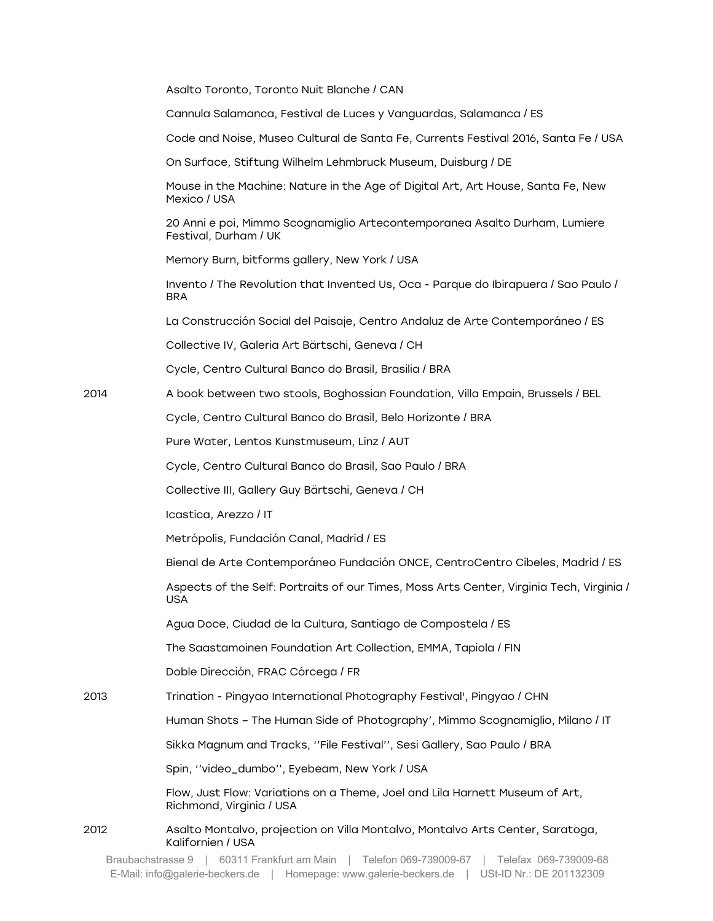|      | Asalto Toronto, Toronto Nuit Blanche / CAN                                                               |
|------|----------------------------------------------------------------------------------------------------------|
|      | Cannula Salamanca, Festival de Luces y Vanguardas, Salamanca / ES                                        |
|      | Code and Noise, Museo Cultural de Santa Fe, Currents Festival 2016, Santa Fe / USA                       |
|      | On Surface, Stiftung Wilhelm Lehmbruck Museum, Duisburg / DE                                             |
|      | Mouse in the Machine: Nature in the Age of Digital Art, Art House, Santa Fe, New<br>Mexico / USA         |
|      | 20 Anni e poi, Mimmo Scognamiglio Artecontemporanea Asalto Durham, Lumiere<br>Festival, Durham / UK      |
|      | Memory Burn, bitforms gallery, New York / USA                                                            |
|      | Invento / The Revolution that Invented Us, Oca - Parque do Ibirapuera / Sao Paulo /<br><b>BRA</b>        |
|      | La Construcción Social del Paisaje, Centro Andaluz de Arte Contemporáneo / ES                            |
|      | Collective IV, Galeria Art Bärtschi, Geneva / CH                                                         |
|      | Cycle, Centro Cultural Banco do Brasil, Brasilia / BRA                                                   |
| 2014 | A book between two stools, Boghossian Foundation, Villa Empain, Brussels / BEL                           |
|      | Cycle, Centro Cultural Banco do Brasil, Belo Horizonte / BRA                                             |
|      | Pure Water, Lentos Kunstmuseum, Linz / AUT                                                               |
|      | Cycle, Centro Cultural Banco do Brasil, Sao Paulo / BRA                                                  |
|      | Collective III, Gallery Guy Bärtschi, Geneva / CH                                                        |
|      | Icastica, Arezzo / IT                                                                                    |
|      | Metrópolis, Fundación Canal, Madrid / ES                                                                 |
|      | Bienal de Arte Contemporáneo Fundación ONCE, CentroCentro Cibeles, Madrid / ES                           |
|      | Aspects of the Self: Portraits of our Times, Moss Arts Center, Virginia Tech, Virginia /<br><b>USA</b>   |
|      | Agua Doce, Ciudad de la Cultura, Santiago de Compostela / ES                                             |
|      | The Saastamoinen Foundation Art Collection, EMMA, Tapiola / FIN                                          |
|      | Doble Dirección, FRAC Córcega / FR                                                                       |
| 2013 | Trination - Pingyao International Photography Festival', Pingyao / CHN                                   |
|      | Human Shots - The Human Side of Photography', Mimmo Scognamiglio, Milano / IT                            |
|      | Sikka Magnum and Tracks, "File Festival", Sesi Gallery, Sao Paulo / BRA                                  |
|      | Spin, "video_dumbo", Eyebeam, New York / USA                                                             |
|      | Flow, Just Flow: Variations on a Theme, Joel and Lila Harnett Museum of Art,<br>Richmond, Virginia / USA |
| 2012 | Asalto Montalvo, projection on Villa Montalvo, Montalvo Arts Center, Saratoga,<br>Kalifornien / USA      |

Braubachstrasse 9 | 60311 Frankfurt am Main | Telefon 069-739009-67 | Telefax 069-739009-68 E-Mail: info@galerie-beckers.de | Homepage: www.galerie-beckers.de | USt-ID Nr.: DE 201132309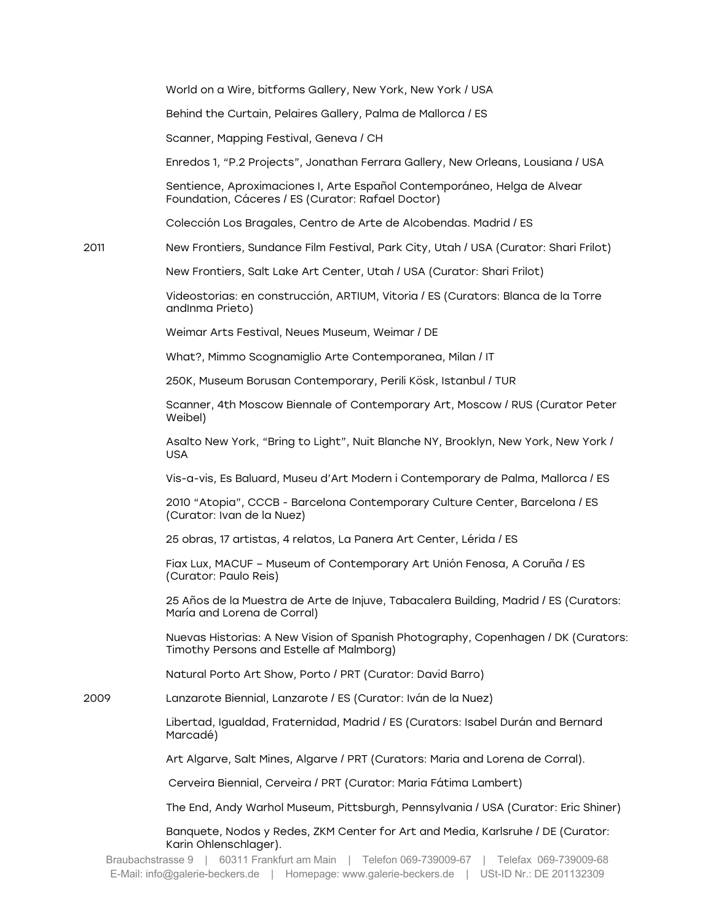World on a Wire, bitforms Gallery, New York, New York / USA

Behind the Curtain, Pelaires Gallery, Palma de Mallorca / ES

Scanner, Mapping Festival, Geneva / CH

Enredos 1, "P.2 Projects", Jonathan Ferrara Gallery, New Orleans, Lousiana / USA

Sentience, Aproximaciones I, Arte Español Contemporáneo, Helga de Alvear Foundation, Cáceres / ES (Curator: Rafael Doctor)

Colección Los Bragales, Centro de Arte de Alcobendas. Madrid / ES

2011 New Frontiers, Sundance Film Festival, Park City, Utah / USA (Curator: Shari Frilot)

New Frontiers, Salt Lake Art Center, Utah / USA (Curator: Shari Frilot)

Videostorias: en construcción, ARTIUM, Vitoria / ES (Curators: Blanca de la Torre andInma Prieto)

Weimar Arts Festival, Neues Museum, Weimar / DE

What?, Mimmo Scognamiglio Arte Contemporanea, Milan / IT

250K, Museum Borusan Contemporary, Perili Kösk, Istanbul / TUR

Scanner, 4th Moscow Biennale of Contemporary Art, Moscow / RUS (Curator Peter Weibel)

Asalto New York, "Bring to Light", Nuit Blanche NY, Brooklyn, New York, New York / USA

Vis-a-vis, Es Baluard, Museu d'Art Modern i Contemporary de Palma, Mallorca / ES

2010 "Atopia", CCCB - Barcelona Contemporary Culture Center, Barcelona / ES (Curator: Ivan de la Nuez)

25 obras, 17 artistas, 4 relatos, La Panera Art Center, Lérida / ES

Fiax Lux, MACUF – Museum of Contemporary Art Unión Fenosa, A Coruña / ES (Curator: Paulo Reis)

25 Años de la Muestra de Arte de Injuve, Tabacalera Building, Madrid / ES (Curators: María and Lorena de Corral)

Nuevas Historias: A New Vision of Spanish Photography, Copenhagen / DK (Curators: Timothy Persons and Estelle af Malmborg)

Natural Porto Art Show, Porto / PRT (Curator: David Barro)

2009 Lanzarote Biennial, Lanzarote / ES (Curator: Iván de la Nuez)

Libertad, Igualdad, Fraternidad, Madrid / ES (Curators: Isabel Durán and Bernard Marcadé)

Art Algarve, Salt Mines, Algarve / PRT (Curators: Maria and Lorena de Corral).

Cerveira Biennial, Cerveira / PRT (Curator: Maria Fátima Lambert)

The End, Andy Warhol Museum, Pittsburgh, Pennsylvania / USA (Curator: Eric Shiner)

Banquete, Nodos y Redes, ZKM Center for Art and Media, Karlsruhe / DE (Curator: Karin Ohlenschlager).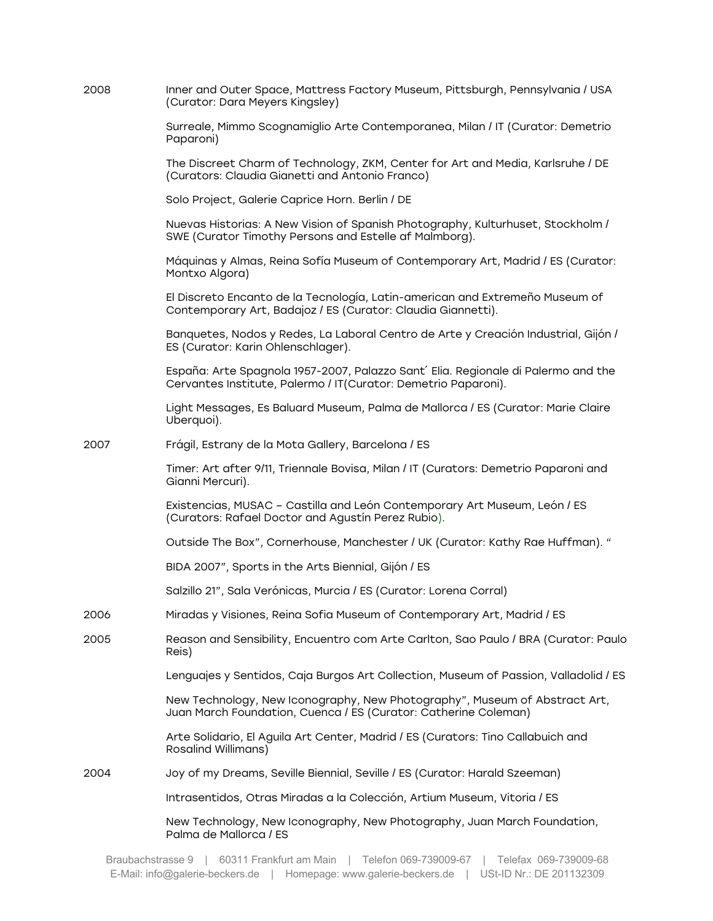| 2008 | Inner and Outer Space, Mattress Factory Museum, Pittsburgh, Pennsylvania / USA<br>(Curator: Dara Meyers Kingsley)                                   |
|------|-----------------------------------------------------------------------------------------------------------------------------------------------------|
|      | Surreale, Mimmo Scognamiglio Arte Contemporanea, Milan / IT (Curator: Demetrio<br>Paparoni)                                                         |
|      | The Discreet Charm of Technology, ZKM, Center for Art and Media, Karlsruhe / DE<br>(Curators: Claudia Gianetti and Antonio Franco)                  |
|      | Solo Project, Galerie Caprice Horn. Berlin / DE                                                                                                     |
|      | Nuevas Historias: A New Vision of Spanish Photography, Kulturhuset, Stockholm /<br>SWE (Curator Timothy Persons and Estelle af Malmborg).           |
|      | Máquinas y Almas, Reina Sofía Museum of Contemporary Art, Madrid / ES (Curator:<br>Montxo Algora)                                                   |
|      | El Discreto Encanto de la Tecnología, Latin-american and Extremeño Museum of<br>Contemporary Art, Badajoz / ES (Curator: Claudia Giannetti).        |
|      | Banquetes, Nodos y Redes, La Laboral Centro de Arte y Creación Industrial, Gijón /<br>ES (Curator: Karin Ohlenschlager).                            |
|      | España: Arte Spagnola 1957-2007, Palazzo Sant' Elia. Regionale di Palermo and the<br>Cervantes Institute, Palermo / IT(Curator: Demetrio Paparoni). |
|      | Light Messages, Es Baluard Museum, Palma de Mallorca / ES (Curator: Marie Claire<br>Uberquoi).                                                      |
| 2007 | Frágil, Estrany de la Mota Gallery, Barcelona / ES                                                                                                  |
|      | Timer: Art after 9/11, Triennale Bovisa, Milan / IT (Curators: Demetrio Paparoni and<br>Gianni Mercuri).                                            |
|      | Existencias, MUSAC - Castilla and León Contemporary Art Museum, León / ES<br>(Curators: Rafael Doctor and Agustín Perez Rubio).                     |
|      | Outside The Box", Cornerhouse, Manchester / UK (Curator: Kathy Rae Huffman). "                                                                      |
|      | BIDA 2007", Sports in the Arts Biennial, Gijón / ES                                                                                                 |
|      | Salzillo 21", Sala Verónicas, Murcia / ES (Curator: Lorena Corral)                                                                                  |
| 2006 | Miradas y Visiones, Reina Sofia Museum of Contemporary Art, Madrid / ES                                                                             |
| 2005 | Reason and Sensibility, Encuentro com Arte Carlton, Sao Paulo / BRA (Curator: Paulo<br>Reis)                                                        |
|      | Lenguajes y Sentidos, Caja Burgos Art Collection, Museum of Passion, Valladolid / ES                                                                |
|      | New Technology, New Iconography, New Photography", Museum of Abstract Art,<br>Juan March Foundation, Cuenca / ES (Curator: Catherine Coleman)       |
|      | Arte Solidario, El Aguila Art Center, Madrid / ES (Curators: Tino Callabuich and<br>Rosalind Willimans)                                             |
| 2004 | Joy of my Dreams, Seville Biennial, Seville / ES (Curator: Harald Szeeman)                                                                          |
|      | Intrasentidos, Otras Miradas a la Colección, Artium Museum, Vitoria / ES                                                                            |
|      | New Technology, New Iconography, New Photography, Juan March Foundation,<br>Palma de Mallorca / ES                                                  |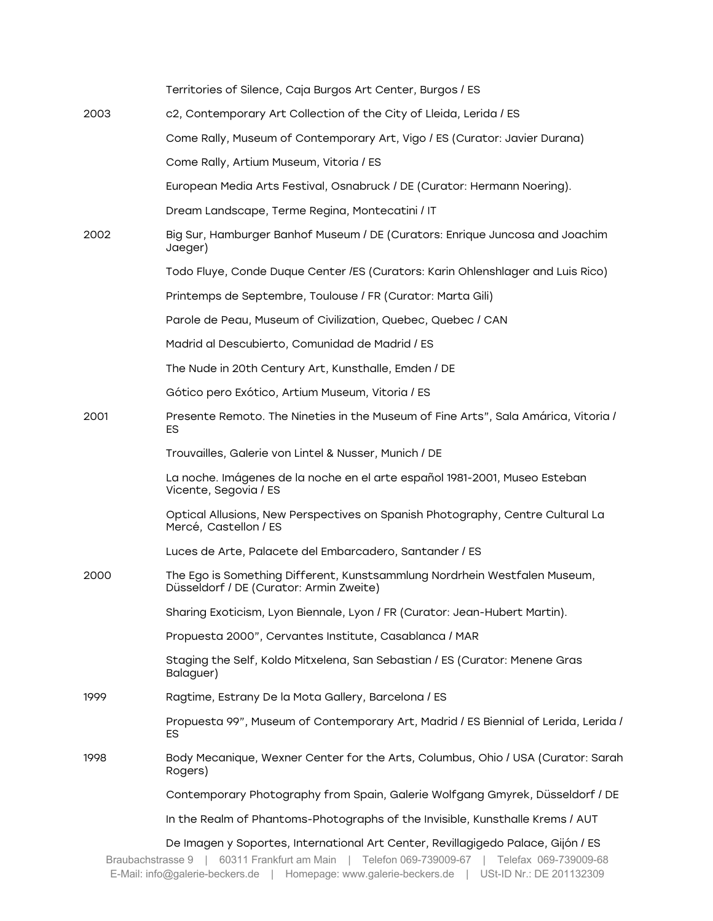|                   | Territories of Silence, Caja Burgos Art Center, Burgos / ES                                                                                                   |
|-------------------|---------------------------------------------------------------------------------------------------------------------------------------------------------------|
| 2003              | c2, Contemporary Art Collection of the City of Lleida, Lerida / ES                                                                                            |
|                   | Come Rally, Museum of Contemporary Art, Vigo / ES (Curator: Javier Durana)                                                                                    |
|                   | Come Rally, Artium Museum, Vitoria / ES                                                                                                                       |
|                   | European Media Arts Festival, Osnabruck / DE (Curator: Hermann Noering).                                                                                      |
|                   | Dream Landscape, Terme Regina, Montecatini / IT                                                                                                               |
| 2002              | Big Sur, Hamburger Banhof Museum / DE (Curators: Enrique Juncosa and Joachim<br>Jaeger)                                                                       |
|                   | Todo Fluye, Conde Duque Center /ES (Curators: Karin Ohlenshlager and Luis Rico)                                                                               |
|                   | Printemps de Septembre, Toulouse / FR (Curator: Marta Gili)                                                                                                   |
|                   | Parole de Peau, Museum of Civilization, Quebec, Quebec / CAN                                                                                                  |
|                   | Madrid al Descubierto, Comunidad de Madrid / ES                                                                                                               |
|                   | The Nude in 20th Century Art, Kunsthalle, Emden / DE                                                                                                          |
|                   | Gótico pero Exótico, Artium Museum, Vitoria / ES                                                                                                              |
| 2001              | Presente Remoto. The Nineties in the Museum of Fine Arts", Sala Amárica, Vitoria /<br>ES                                                                      |
|                   | Trouvailles, Galerie von Lintel & Nusser, Munich / DE                                                                                                         |
|                   | La noche. Imágenes de la noche en el arte español 1981-2001, Museo Esteban<br>Vicente, Segovia / ES                                                           |
|                   | Optical Allusions, New Perspectives on Spanish Photography, Centre Cultural La<br>Mercé, Castellon / ES                                                       |
|                   | Luces de Arte, Palacete del Embarcadero, Santander / ES                                                                                                       |
| 2000              | The Ego is Something Different, Kunstsammlung Nordrhein Westfalen Museum,<br>Düsseldorf / DE (Curator: Armin Zweite)                                          |
|                   | Sharing Exoticism, Lyon Biennale, Lyon / FR (Curator: Jean-Hubert Martin).                                                                                    |
|                   | Propuesta 2000", Cervantes Institute, Casablanca / MAR                                                                                                        |
|                   | Staging the Self, Koldo Mitxelena, San Sebastian / ES (Curator: Menene Gras<br>Balaguer)                                                                      |
| 1999              | Ragtime, Estrany De la Mota Gallery, Barcelona / ES                                                                                                           |
|                   | Propuesta 99", Museum of Contemporary Art, Madrid / ES Biennial of Lerida, Lerida /<br>ES.                                                                    |
| 1998              | Body Mecanique, Wexner Center for the Arts, Columbus, Ohio / USA (Curator: Sarah<br>Rogers)                                                                   |
|                   | Contemporary Photography from Spain, Galerie Wolfgang Gmyrek, Düsseldorf / DE                                                                                 |
|                   | In the Realm of Phantoms-Photographs of the Invisible, Kunsthalle Krems / AUT                                                                                 |
| Braubachstrasse 9 | De Imagen y Soportes, International Art Center, Revillagigedo Palace, Gijón / ES<br>60311 Frankfurt am Main<br>Telefon 069-739009-67<br>Telefax 069-739009-68 |

E-Mail: info@galerie-beckers.de | Homepage: www.galerie-beckers.de | USt-ID Nr.: DE 201132309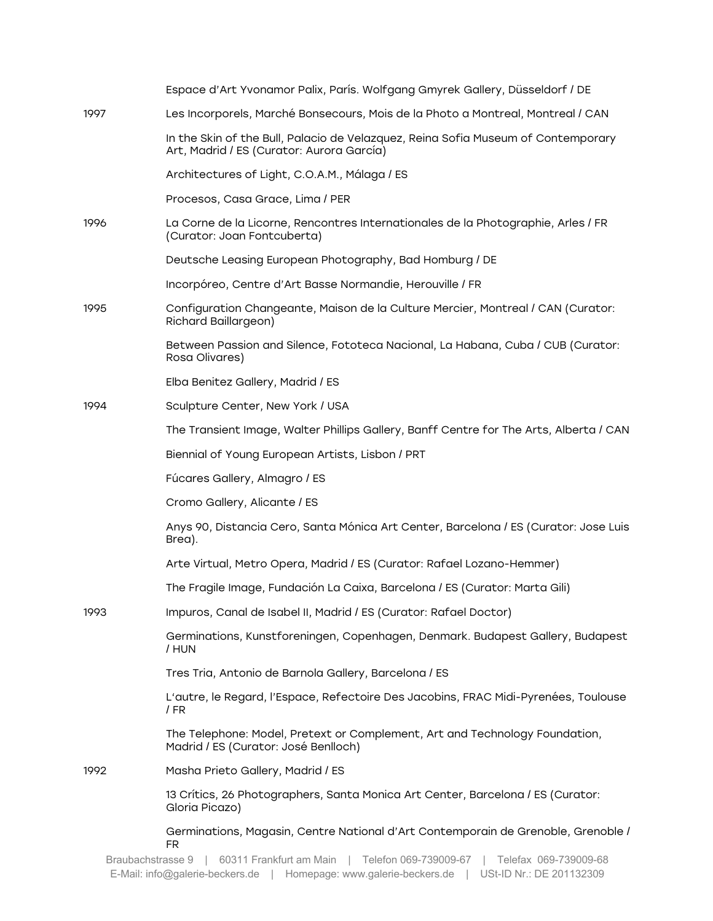|      | Espace d'Art Yvonamor Palix, París. Wolfgang Gmyrek Gallery, Düsseldorf / DE                                                   |
|------|--------------------------------------------------------------------------------------------------------------------------------|
| 1997 | Les Incorporels, Marché Bonsecours, Mois de la Photo a Montreal, Montreal / CAN                                                |
|      | In the Skin of the Bull, Palacio de Velazquez, Reina Sofia Museum of Contemporary<br>Art, Madrid / ES (Curator: Aurora García) |
|      | Architectures of Light, C.O.A.M., Málaga / ES                                                                                  |
|      | Procesos, Casa Grace, Lima / PER                                                                                               |
| 1996 | La Corne de la Licorne, Rencontres Internationales de la Photographie, Arles / FR<br>(Curator: Joan Fontcuberta)               |
|      | Deutsche Leasing European Photography, Bad Homburg / DE                                                                        |
|      | Incorpóreo, Centre d'Art Basse Normandie, Herouville / FR                                                                      |
| 1995 | Configuration Changeante, Maison de la Culture Mercier, Montreal / CAN (Curator:<br>Richard Baillargeon)                       |
|      | Between Passion and Silence, Fototeca Nacional, La Habana, Cuba / CUB (Curator:<br>Rosa Olivares)                              |
|      | Elba Benitez Gallery, Madrid / ES                                                                                              |
| 1994 | Sculpture Center, New York / USA                                                                                               |
|      | The Transient Image, Walter Phillips Gallery, Banff Centre for The Arts, Alberta / CAN                                         |
|      | Biennial of Young European Artists, Lisbon / PRT                                                                               |
|      | Fúcares Gallery, Almagro / ES                                                                                                  |
|      | Cromo Gallery, Alicante / ES                                                                                                   |
|      | Anys 90, Distancia Cero, Santa Mónica Art Center, Barcelona / ES (Curator: Jose Luis<br>Brea).                                 |
|      | Arte Virtual, Metro Opera, Madrid / ES (Curator: Rafael Lozano-Hemmer)                                                         |
|      | The Fragile Image, Fundación La Caixa, Barcelona / ES (Curator: Marta Gili)                                                    |
| 1993 | Impuros, Canal de Isabel II, Madrid / ES (Curator: Rafael Doctor)                                                              |
|      | Germinations, Kunstforeningen, Copenhagen, Denmark. Budapest Gallery, Budapest<br>/ HUN                                        |
|      | Tres Tria, Antonio de Barnola Gallery, Barcelona / ES                                                                          |
|      | L'autre, le Regard, l'Espace, Refectoire Des Jacobins, FRAC Midi-Pyrenées, Toulouse<br>/ FR                                    |
|      | The Telephone: Model, Pretext or Complement, Art and Technology Foundation,<br>Madrid / ES (Curator: José Benlloch)            |
| 1992 | Masha Prieto Gallery, Madrid / ES                                                                                              |
|      | 13 Crítics, 26 Photographers, Santa Monica Art Center, Barcelona / ES (Curator:<br>Gloria Picazo)                              |
|      | Germinations, Magasin, Centre National d'Art Contemporain de Grenoble, Grenoble /<br>FR.                                       |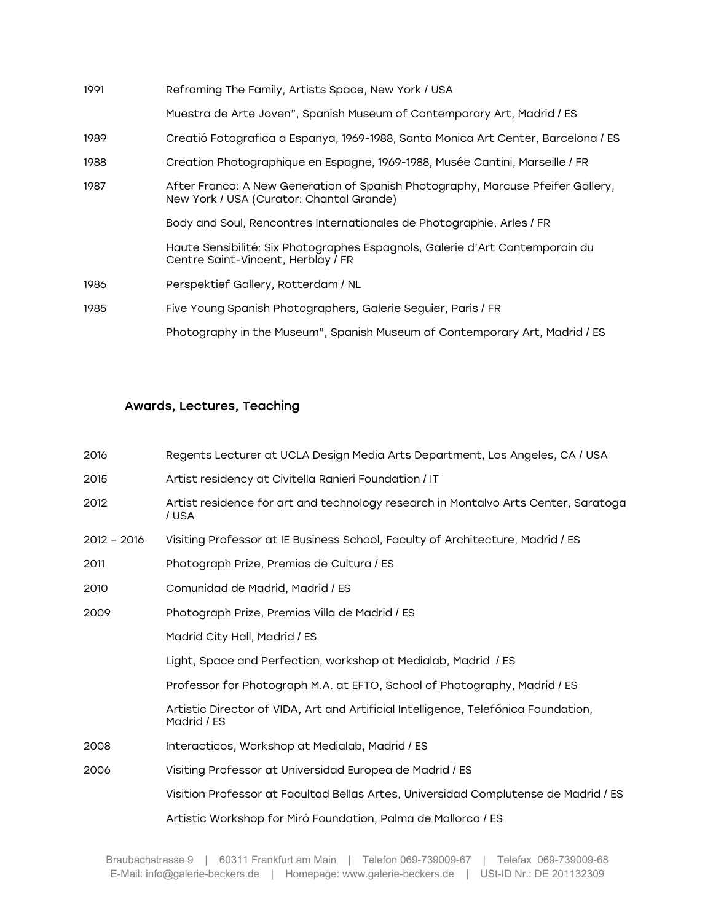| Reframing The Family, Artists Space, New York / USA                                                                         |
|-----------------------------------------------------------------------------------------------------------------------------|
| Muestra de Arte Joven", Spanish Museum of Contemporary Art, Madrid / ES                                                     |
| Creatió Fotografica a Espanya, 1969-1988, Santa Monica Art Center, Barcelona / ES                                           |
| Creation Photographique en Espagne, 1969-1988, Musée Cantini, Marseille / FR                                                |
| After Franco: A New Generation of Spanish Photography, Marcuse Pfeifer Gallery,<br>New York / USA (Curator: Chantal Grande) |
| Body and Soul, Rencontres Internationales de Photographie, Arles / FR                                                       |
| Haute Sensibilité: Six Photographes Espagnols, Galerie d'Art Contemporain du<br>Centre Saint-Vincent, Herblay / FR          |
| Perspektief Gallery, Rotterdam / NL                                                                                         |
| Five Young Spanish Photographers, Galerie Seguier, Paris / FR                                                               |
| Photography in the Museum", Spanish Museum of Contemporary Art, Madrid / ES                                                 |
|                                                                                                                             |

## Awards, Lectures, Teaching

| 2016          | Regents Lecturer at UCLA Design Media Arts Department, Los Angeles, CA / USA                      |
|---------------|---------------------------------------------------------------------------------------------------|
| 2015          | Artist residency at Civitella Ranieri Foundation / IT                                             |
| 2012          | Artist residence for art and technology research in Montalvo Arts Center, Saratoga<br>/ USA       |
| $2012 - 2016$ | Visiting Professor at IE Business School, Faculty of Architecture, Madrid / ES                    |
| 2011          | Photograph Prize, Premios de Cultura / ES                                                         |
| 2010          | Comunidad de Madrid, Madrid / ES                                                                  |
| 2009          | Photograph Prize, Premios Villa de Madrid / ES                                                    |
|               | Madrid City Hall, Madrid / ES                                                                     |
|               | Light, Space and Perfection, workshop at Medialab, Madrid / ES                                    |
|               | Professor for Photograph M.A. at EFTO, School of Photography, Madrid / ES                         |
|               | Artistic Director of VIDA, Art and Artificial Intelligence, Telefónica Foundation,<br>Madrid / ES |
| 2008          | Interacticos, Workshop at Medialab, Madrid / ES                                                   |
| 2006          | Visiting Professor at Universidad Europea de Madrid / ES                                          |
|               | Visition Professor at Facultad Bellas Artes, Universidad Complutense de Madrid / ES               |
|               | Artistic Workshop for Miró Foundation, Palma de Mallorca / ES                                     |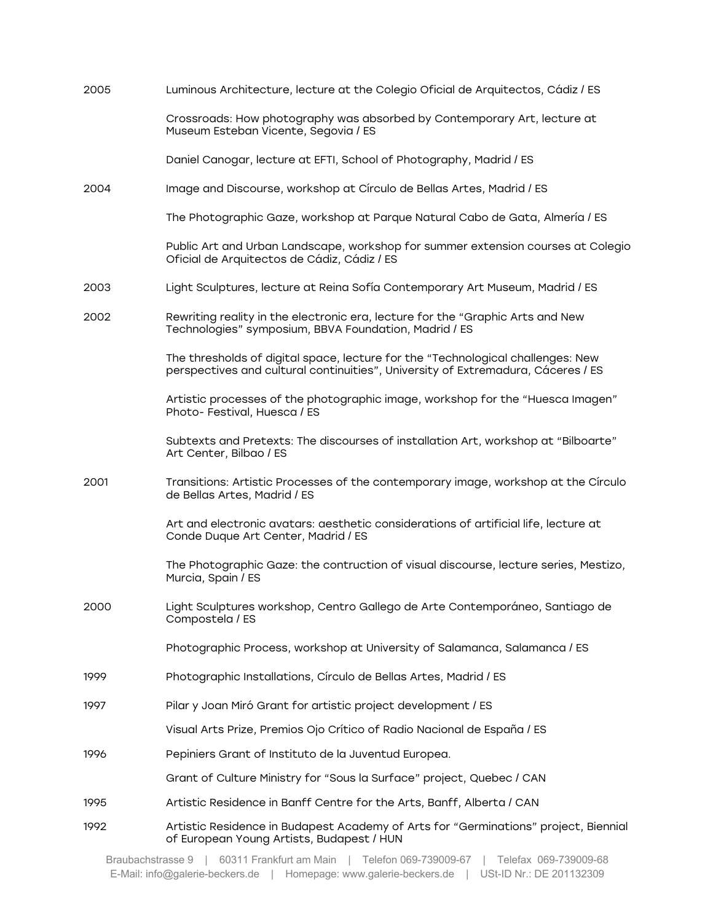| 2005 | Luminous Architecture, lecture at the Colegio Oficial de Arquitectos, Cádiz / ES                                                                                    |
|------|---------------------------------------------------------------------------------------------------------------------------------------------------------------------|
|      | Crossroads: How photography was absorbed by Contemporary Art, lecture at<br>Museum Esteban Vicente, Segovia / ES                                                    |
|      | Daniel Canogar, lecture at EFTI, School of Photography, Madrid / ES                                                                                                 |
| 2004 | Image and Discourse, workshop at Círculo de Bellas Artes, Madrid / ES                                                                                               |
|      | The Photographic Gaze, workshop at Parque Natural Cabo de Gata, Almería / ES                                                                                        |
|      | Public Art and Urban Landscape, workshop for summer extension courses at Colegio<br>Oficial de Arquitectos de Cádiz, Cádiz / ES                                     |
| 2003 | Light Sculptures, lecture at Reina Sofía Contemporary Art Museum, Madrid / ES                                                                                       |
| 2002 | Rewriting reality in the electronic era, lecture for the "Graphic Arts and New<br>Technologies" symposium, BBVA Foundation, Madrid / ES                             |
|      | The thresholds of digital space, lecture for the "Technological challenges: New<br>perspectives and cultural continuities", University of Extremadura, Cáceres / ES |
|      | Artistic processes of the photographic image, workshop for the "Huesca Imagen"<br>Photo-Festival, Huesca / ES                                                       |
|      | Subtexts and Pretexts: The discourses of installation Art, workshop at "Bilboarte"<br>Art Center, Bilbao / ES                                                       |
| 2001 | Transitions: Artistic Processes of the contemporary image, workshop at the Círculo<br>de Bellas Artes, Madrid / ES                                                  |
|      | Art and electronic avatars: aesthetic considerations of artificial life, lecture at<br>Conde Duque Art Center, Madrid / ES                                          |
|      | The Photographic Gaze: the contruction of visual discourse, lecture series, Mestizo,<br>Murcia, Spain / ES                                                          |
| 2000 | Light Sculptures workshop, Centro Gallego de Arte Contemporáneo, Santiago de<br>Compostela / ES                                                                     |
|      | Photographic Process, workshop at University of Salamanca, Salamanca / ES                                                                                           |
| 1999 | Photographic Installations, Círculo de Bellas Artes, Madrid / ES                                                                                                    |
| 1997 | Pilar y Joan Miró Grant for artistic project development / ES                                                                                                       |
|      | Visual Arts Prize, Premios Ojo Crítico of Radio Nacional de España / ES                                                                                             |
| 1996 | Pepiniers Grant of Instituto de la Juventud Europea.                                                                                                                |
|      | Grant of Culture Ministry for "Sous la Surface" project, Quebec / CAN                                                                                               |
| 1995 | Artistic Residence in Banff Centre for the Arts, Banff, Alberta / CAN                                                                                               |
| 1992 | Artistic Residence in Budapest Academy of Arts for "Germinations" project, Biennial<br>of European Young Artists, Budapest / HUN                                    |